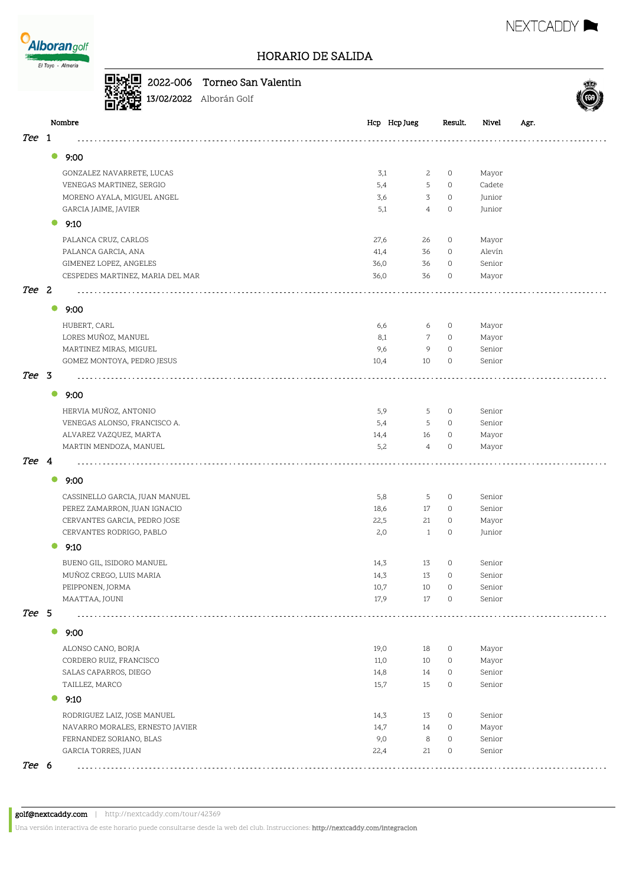

## HORARIO DE SALIDA

#### 2022-006 Torneo San Valentin



9:00

 $\bullet$ 

 $\bullet$ 

Oš, राग

9:10

● 9:00

**9:00** 

9:00

 $\bullet$ 

 $\bullet$ 

9:10

9:00

 $\bullet$ 

 $\bullet$ 

9:10

Tee 1

Tee 2

Tee 3

Tee 4

Tee 5

Tee 6





Una versión interactiva de este horario puede consultarse desde la web del club. Instrucciones: http://nextcaddy.com/integracion

RODRIGUEZ LAIZ, JOSE MANUEL 14,3 13 0 Senior NAVARRO MORALES, ERNESTO JAVIER 14,7 14 0 Mayor FERNANDEZ SORIANO, BLAS 9,0 8 0 Senior GARCIA TORRES, JUAN 22,4 21 0 Senior

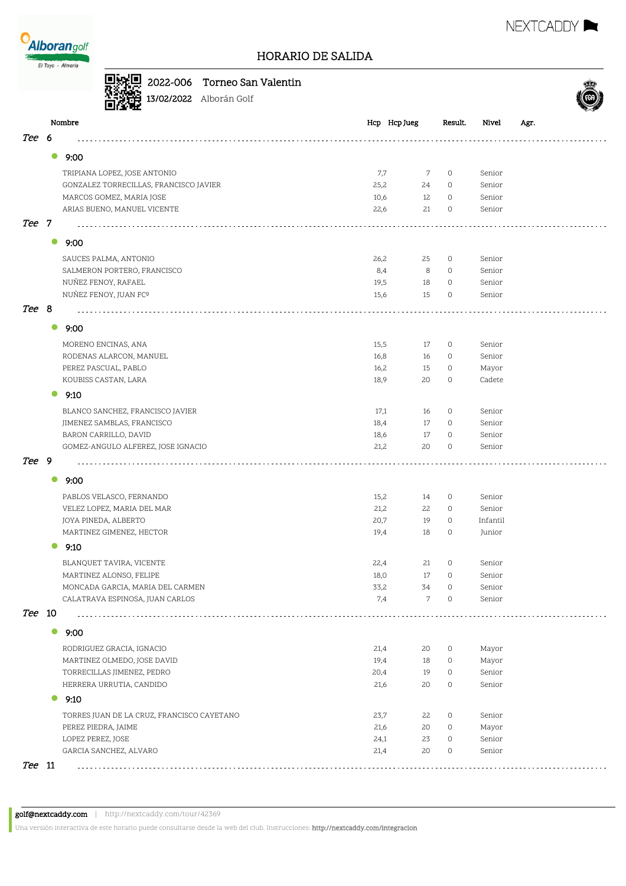



### 2022-006 Torneo San Valentin

13/02/2022 Alborán Golf



|        | Nombre                                             | Hcp Hcp Jueg | Result.                   | Nivel            | Agr. |
|--------|----------------------------------------------------|--------------|---------------------------|------------------|------|
| Tee 6  |                                                    |              |                           |                  |      |
|        | 9:00<br>$\bullet$                                  |              |                           |                  |      |
|        | TRIPIANA LOPEZ, JOSE ANTONIO                       | 7,7          | $\circ$<br>7              | Senior           |      |
|        | GONZALEZ TORRECILLAS, FRANCISCO JAVIER             | 25,2         | 24<br>0                   | Senior           |      |
|        | MARCOS GOMEZ, MARIA JOSE                           | 10,6         | 12<br>0                   | Senior           |      |
|        | ARIAS BUENO, MANUEL VICENTE                        | 22,6         | 21<br>0                   | Senior           |      |
| Tee 7  |                                                    |              |                           |                  |      |
|        | $\bullet$<br>9:00                                  |              |                           |                  |      |
|        |                                                    |              |                           |                  |      |
|        | SAUCES PALMA, ANTONIO                              | 26,2<br>8,4  | 25<br>0<br>8<br>0         | Senior<br>Senior |      |
|        | SALMERON PORTERO, FRANCISCO<br>NUÑEZ FENOY, RAFAEL | 19,5         | 18<br>$\circ$             | Senior           |      |
|        | NUÑEZ FENOY, JUAN FCº                              | 15,6         | 15<br>0                   | Senior           |      |
| Tee 8  |                                                    |              |                           |                  |      |
|        | $\bullet$<br>9:00                                  |              |                           |                  |      |
|        | MORENO ENCINAS, ANA                                | 15,5         | 17<br>0                   | Senior           |      |
|        | RODENAS ALARCON, MANUEL                            | 16,8         | 16<br>0                   | Senior           |      |
|        | PEREZ PASCUAL, PABLO                               | 16,2         | 15<br>0                   | Mayor            |      |
|        | KOUBISS CASTAN, LARA                               | 18,9         | 20<br>0                   | Cadete           |      |
|        | 9:10<br>$\bullet$                                  |              |                           |                  |      |
|        | BLANCO SANCHEZ, FRANCISCO JAVIER                   | 17,1         | 16<br>0                   | Senior           |      |
|        | JIMENEZ SAMBLAS, FRANCISCO                         | 18,4         | 17<br>$\circ$             | Senior           |      |
|        | BARON CARRILLO, DAVID                              | 18,6         | 17<br>$\circ$             | Senior           |      |
|        | GOMEZ-ANGULO ALFEREZ, JOSE IGNACIO                 | 21,2         | 20<br>0                   | Senior           |      |
| Tee 9  |                                                    |              |                           |                  |      |
|        | $\bullet$<br>9:00                                  |              |                           |                  |      |
|        | PABLOS VELASCO, FERNANDO                           | 15,2         | 14<br>0                   | Senior           |      |
|        | VELEZ LOPEZ, MARIA DEL MAR                         | 21,2         | 22<br>0                   | Senior           |      |
|        | JOYA PINEDA, ALBERTO                               | 20,7         | 19<br>$\circ$             | Infantil         |      |
|        | MARTINEZ GIMENEZ, HECTOR                           | 19,4         | 18<br>0                   | Junior           |      |
|        | 9:10                                               |              |                           |                  |      |
|        | BLANQUET TAVIRA, VICENTE                           | 22,4         | 21<br>$\circ$             | Senior           |      |
|        | MARTINEZ ALONSO, FELIPE                            | 18,0         | 17<br>0                   | Senior           |      |
|        | MONCADA GARCIA, MARIA DEL CARMEN                   | 33,2         | 34<br>$\circ$             | Senior           |      |
|        | CALATRAVA ESPINOSA, JUAN CARLOS                    | 7,4          | 7<br>$\mathsf{O}\xspace$  | Senior           |      |
| Tee 10 |                                                    |              |                           |                  |      |
|        | $\bullet$<br>9:00                                  |              |                           |                  |      |
|        | RODRIGUEZ GRACIA, IGNACIO                          | 21,4         | 0<br>20                   | Mayor            |      |
|        | MARTINEZ OLMEDO, JOSE DAVID                        | 19,4         | 18<br>0                   | Mayor            |      |
|        | TORRECILLAS JIMENEZ, PEDRO                         | 20,4         | 0<br>19                   | Senior           |      |
|        | HERRERA URRUTIA, CANDIDO                           | 21,6         | 0<br>20                   | Senior           |      |
|        | 9:10                                               |              |                           |                  |      |
|        | TORRES JUAN DE LA CRUZ, FRANCISCO CAYETANO         | 23,7         | 22<br>0                   | Senior           |      |
|        | PEREZ PIEDRA, JAIME                                | 21,6         | 20<br>0                   | Mayor            |      |
|        | LOPEZ PEREZ, JOSE                                  | 24,1         | 23<br>0                   | Senior           |      |
|        | GARCIA SANCHEZ, ALVARO                             | 21,4         | $\mathsf{O}\xspace$<br>20 | Senior           |      |
| Tee 11 |                                                    |              |                           |                  |      |

Una versión interactiva de este horario puede consultarse desde la web del club. Instrucciones: http://nextcaddy.com/integracion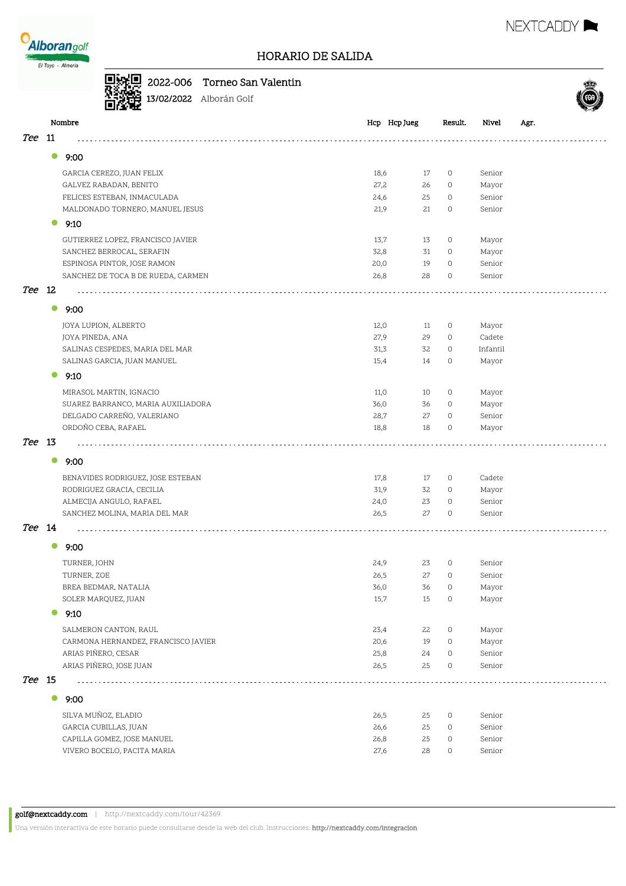

# 2022-006 Torneo San Valentin



13/02/2022 Alborán Golf

|            |           | Nombre                              | Hcp Hcp Jueg |    | Result.     | Nivel    | Agr. |
|------------|-----------|-------------------------------------|--------------|----|-------------|----------|------|
| <i>Tee</i> | 11        |                                     |              |    |             |          |      |
|            | $\bullet$ | 9:00                                |              |    |             |          |      |
|            |           | GARCIA CEREZO, JUAN FELIX           | 18,6         | 17 | $\circ$     | Senior   |      |
|            |           | GALVEZ RABADAN, BENITO              | 27,2         | 26 | $\circ$     | Mayor    |      |
|            |           | FELICES ESTEBAN, INMACULADA         | 24,6         | 25 | $\circ$     | Senior   |      |
|            |           | MALDONADO TORNERO, MANUEL JESUS     | 21,9         | 21 | 0           | Senior   |      |
|            |           |                                     |              |    |             |          |      |
|            |           | 9:10                                |              |    |             |          |      |
|            |           | GUTIERREZ LOPEZ, FRANCISCO JAVIER   | 13,7         | 13 | $\circ$     | Mayor    |      |
|            |           | SANCHEZ BERROCAL, SERAFIN           | 32,8         | 31 | $\circ$     | Mayor    |      |
|            |           | ESPINOSA PINTOR, JOSE RAMON         | 20,0         | 19 | $\circ$     | Senior   |      |
|            |           | SANCHEZ DE TOCA B DE RUEDA, CARMEN  | 26,8         | 28 | $\circ$     | Senior   |      |
| <i>Tee</i> | 12        |                                     |              |    |             |          |      |
|            | $\bullet$ | 9:00                                |              |    |             |          |      |
|            |           | JOYA LUPION, ALBERTO                | 12,0         | 11 | $\circ$     | Mayor    |      |
|            |           | JOYA PINEDA, ANA                    | 27,9         | 29 | $\circ$     | Cadete   |      |
|            |           | SALINAS CESPEDES, MARIA DEL MAR     | 31,3         | 32 | $\circ$     | Infantil |      |
|            |           | SALINAS GARCIA, JUAN MANUEL         | 15,4         | 14 | $\circ$     | Mayor    |      |
|            |           | 9:10                                |              |    |             |          |      |
|            |           | MIRASOL MARTIN, IGNACIO             | 11,0         | 10 | $\circ$     | Mayor    |      |
|            |           | SUAREZ BARRANCO, MARIA AUXILIADORA  | 36,0         | 36 | $\circ$     | Mayor    |      |
|            |           | DELGADO CARREÑO, VALERIANO          | 28,7         | 27 | $\circ$     | Senior   |      |
|            |           | ORDOÑO CEBA, RAFAEL                 | 18,8         | 18 | $\circ$     | Mayor    |      |
| Tee        | - 13      |                                     |              |    |             |          |      |
|            | $\bullet$ | 9:00                                |              |    |             |          |      |
|            |           | BENAVIDES RODRIGUEZ, JOSE ESTEBAN   | 17,8         | 17 | $\circ$     | Cadete   |      |
|            |           | RODRIGUEZ GRACIA, CECILIA           | 31,9         | 32 | $\circ$     | Mayor    |      |
|            |           | ALMECIJA ANGULO, RAFAEL             | 24,0         | 23 | $\circ$     | Senior   |      |
|            |           | SANCHEZ MOLINA, MARIA DEL MAR       | 26,5         | 27 | 0           | Senior   |      |
| Tee 14     |           |                                     |              |    |             |          |      |
|            | $\bullet$ | 9:00                                |              |    |             |          |      |
|            |           | TURNER, JOHN                        | 24,9         | 23 | 0           | Senior   |      |
|            |           | TURNER, ZOE                         | 26,5         | 27 | $\circ$     | Senior   |      |
|            |           | BREA BEDMAR, NATALIA                | 36,0         | 36 | $\mathbf 0$ | Mayor    |      |
|            |           | SOLER MARQUEZ, JUAN                 | 15,7         | 15 | $\circ$     | Mayor    |      |
|            | $\bullet$ | 9:10                                |              |    |             |          |      |
|            |           | SALMERON CANTON, RAUL               | 23,4         | 22 | $\circ$     | Mayor    |      |
|            |           | CARMONA HERNANDEZ, FRANCISCO JAVIER | 20,6         | 19 | $\circ$     | Mayor    |      |
|            |           | ARIAS PIÑERO, CESAR                 | 25,8         | 24 | $\circ$     | Senior   |      |
|            |           | ARIAS PIÑERO, JOSE JUAN             | 26,5         | 25 | $\circ$     | Senior   |      |
| Tee 15     |           |                                     |              |    |             |          |      |
|            | $\bullet$ | 9:00                                |              |    |             |          |      |
|            |           | SILVA MUÑOZ, ELADIO                 | 26,5         | 25 | $\circ$     | Senior   |      |
|            |           | GARCIA CUBILLAS, JUAN               | 26,6         | 25 | $\circ$     | Senior   |      |
|            |           | CAPILLA GOMEZ, JOSE MANUEL          | 26,8         | 25 | $\circ$     | Senior   |      |
|            |           | VIVERO BOCELO, PACITA MARIA         | 27,6         | 28 | 0           | Senior   |      |